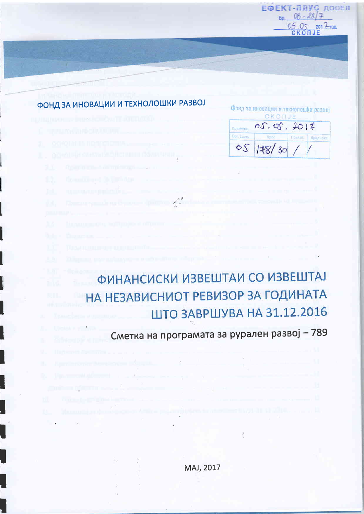ЕФЕКТ-ПЛУС ДООЕЛ  $Bp_0 08 - 28/7$  $0.5.05$  2017  $_{\text{real}}$ 

# ФОНД ЗА ИНОВАЦИИ И ТЕХНОЛОШКИ РАЗВОЈ

| a shi kata Mara Mari Hiji kuma kata wa Tanzania ya Tanzania ya Tanzania ya Tanzania ya Tanzania ya Tanzania ya |  |
|----------------------------------------------------------------------------------------------------------------|--|
| <b>CONTRACTORS INTO CHARGE PARTICIPATION</b>                                                                   |  |
| 2 GOVODNIM NONTONOMIA                                                                                          |  |
|                                                                                                                |  |

- 
- 
- 
- 
- 
- 

# НА НЕЗАВИСНИОТ РЕВИЗОР ЗА ГОДИНАТА

# Сметка на програмата за рурален развој - 789

ШТО ЗАВРШУВА НА 31.12.2016

Ą

ФИНАНСИСКИ ИЗВЕШТАИ СО ИЗВЕШТАЈ

 $\mathbb{Z} \stackrel{\partial}{=} \mathbb{Z}$ 

# MAJ, 2017

|                   | Фонд за иновации и технолошки развој<br>CKONJE                        |        |         |
|-------------------|-----------------------------------------------------------------------|--------|---------|
|                   | $\mathcal{O} \mathcal{S}$ . $\mathcal{O} \mathcal{O}$ . $\mathcal{H}$ |        |         |
| <b>Opri Earth</b> | <b>Spot</b>                                                           | Пример | Вредное |
|                   | 05 178/30                                                             |        |         |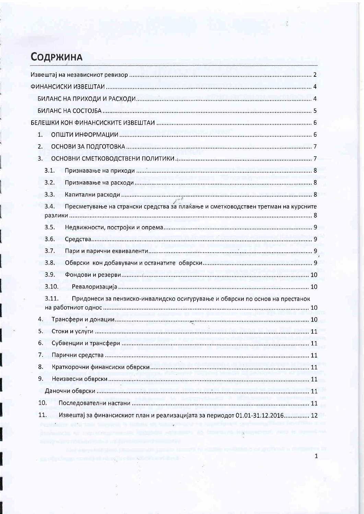# Содржина

| 1.                                                                                                                                              |
|-------------------------------------------------------------------------------------------------------------------------------------------------|
| 2.                                                                                                                                              |
| 3 <sub>1</sub>                                                                                                                                  |
| 3.1.                                                                                                                                            |
| 3.2.                                                                                                                                            |
| 3.3.                                                                                                                                            |
| Пресметување на странски средства за плаќање и сметководствен третман на курсните<br>3.4.                                                       |
|                                                                                                                                                 |
| 3.5.                                                                                                                                            |
| 3.6.                                                                                                                                            |
| 3.7.                                                                                                                                            |
| 3.8.                                                                                                                                            |
| 3.9.                                                                                                                                            |
| 3.10.                                                                                                                                           |
| 3.11.<br>Придонеси за пензиско-инвалидско осигурување и обврски по основ на престанок                                                           |
|                                                                                                                                                 |
| 4.                                                                                                                                              |
| 5.                                                                                                                                              |
| 6.                                                                                                                                              |
| 7.                                                                                                                                              |
| 8.                                                                                                                                              |
| 9.                                                                                                                                              |
|                                                                                                                                                 |
| 10.                                                                                                                                             |
| 11.<br>Извештај за финансискиот план и реализацијата за периодот 01.01-31.12.2016 12<br>and property in the sea of the season of the season and |

ś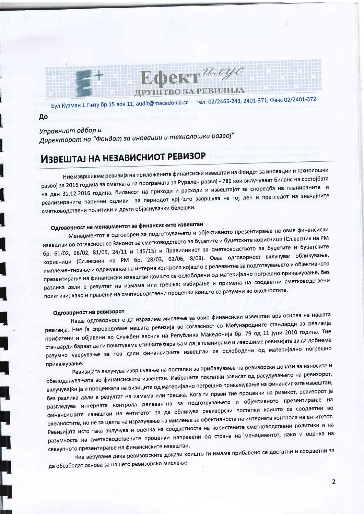

Бул. Кузман J. Питу бр.15 лок 11, audit@macedonia.cc тел: 02/2465-243, 2401-371; Факс 02/2401-372

До

Управниот одбор и

Директорот на "Фондот за иновации и технолошки развој"

# ИЗВЕШТАЈ НА НЕЗАВИСНИОТ РЕВИЗОР

Ние извршивме ревизија на приложените финансиски извештаи на Фондот за иновации и технолошки развој за 2016 година за сметката на програмата за Рурален развој - 789 кои вклучуваат биланс на состојбата на ден 31.12.2016 година, билансот на приходи и расходи и извештајот за споредба на планираните и реализираните парични одливи за периодот кој што завршува на тој ден и прегледот на значајните сметководствени политики и други објаснувачки бёлешки.

# Одговорност на менаџментот за финансиските извештаи

Менаџментот е одговорен за подготвувањето и објективното презентирање на овие финансиски извештаи во согласност со Законот за сметководството за буџетите и буџетските корисници (Сл.весник на РМ бр. 61/02, 98/02, 81/05, 24/11 и 145/15) и Правилникот за сметководството за буџетите и буџетските корисници (Сл.весник на РМ бр. 28/03, 62/06, 8/09). Оваа одговорност вклучува: обликување, имплементирање и одржување на интерна контрола којашто е релевантна за подготвувањето и објективното презентирање на финансиски извештаи коишто се ослободени од материјално погрешно прикажување, без разлика дали е резултат на измама или грешка; избирање и примена на соодветни сметководствени политики; како и правење на сметководствени проценки коишто се разумни во околностите.

#### Одговорност на ревизорот

Наша одговорност е да изразиме мислење за овие финансиски извештаи врз основа на нашата ревизија. Ние ја спроведовме нашата ревизија во согласност со Меѓународните стандарди за ревизија прифатени и објавени во Службен весник на Република Македонија бр. 79 од 11 јуни 2010 година. Тие стандарди бараат да ги почитуваме етичките барања и да ја планираме и извршиме ревизијата за да добиеме разумно уверување за тоа дали финансиските извештаи се ослободени од материјално погрешно прикажување.

Ревизијата вклучува извршување на постапки за прибавување на ревизорски докази за износите и обелоденувањата во финансиските извештаи. Избраните постапки зависат од расудувањето на ревизорот, вклучувајќи ја и проценката на ризиците од материјално погрешно прикажување на финансиските извештаи, без разлика дали е резултат на измама или грешка. Кога ги прави тие проценки на ризикот, ревизорот ја разгледува интерната контрола релевантна за подготвувањето и објективното презентирање на финансиските извештаи на ентитетот за да обликува ревизорски постапки коишто се соодветни во околностите, но не за целта на изразување на мислење за ефективноста на интерната контрола на ентитетот. Ревизијата исто така вклучува и оценка на соодветноста на користените сметководствени политики и на разумноста на сметководствените проценки направени од страна на менаџментот, како и оценка на севкупното презентирање на финансиските извештаи.

Ние веруваме дека ревизорските докази коишто ги имаме прибавено се достатни и соодветни за да обезбедат основа за нашето ревизорско мислење.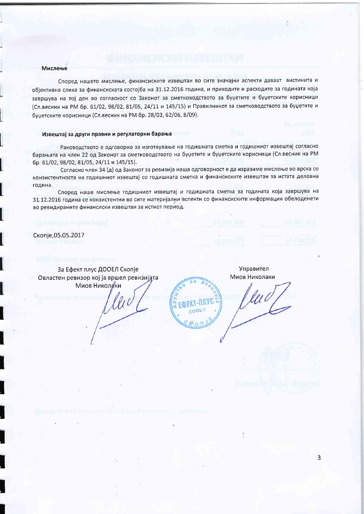#### Мислење

Според нашето мислење, финансиските извештаи во сите значајни аспекти даваат вистинита и објективна слика за финансиската состојба на 31.12.2016 година, и приходите и расходите за годината која завршува на тој ден во согласност со Законот за сметководството за буџетите и буџетските корисници (Сл. весник на РМ бр. 61/02, 98/02, 81/05, 24/11 и 145/15) и Правилникот за сметководството за буџетите и буџетските корисници (Сл.весник на РМ бр. 28/03, 62/06, 8/09).

#### Извештај за други правни и регулаторни барања

Раководството е одговорно за изготвување на годишната сметка и годишниот извештај согласно барањата на член 22 од Законот за сметководството на буџетите и буџетските корисници (Сл.весник на РМ бр. 61/02, 98/02, 81/05, 24/11 и 145/15).

Согласно член 34 (д) од Законот за ревизија наша одговорност е да изразиме мислење во врска со конзистентноста на годишниот извештај со годишната сметка и финансиските извештаи за истата деловна година.

Според наше мислење годишниот извештај и годишната сметка за годината која завршува на 31.12.2016 година се конзистентни во сите материјални аспекти со финансиските информации обелоденети во ревидираните финансиски извештаи за истиот период.

Скопје, 05.05.2017

За Ефект плус ДООЕЛ Скопје Овластен ревизор кој ја вршел ревизијата Миов Николани

lli

Управител Миов Николаки

**OLEKT-NUVC ДООЕЛ** 

 $\overline{3}$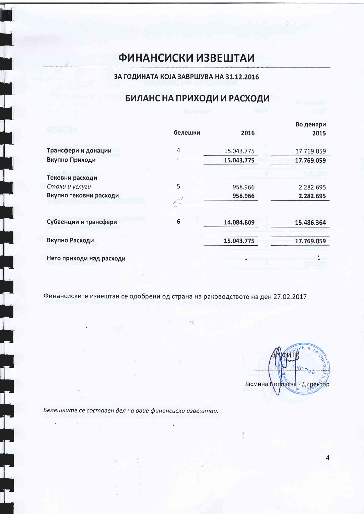# **ФИНАНСИСКИ ИЗВЕШТАИ**

### ЗА ГОДИНАТА КОЈА ЗАВРШУВА НА 31.12.2016

# БИЛАНС НА ПРИХОДИ И РАСХОДИ

|                          |         |            | Во денари  |
|--------------------------|---------|------------|------------|
|                          | белешки | 2016       | 2015       |
| Трансфери и донации      | 4       | 15.043.775 | 17.769.059 |
| Вкупно Приходи           |         | 15.043.775 | 17.769.059 |
| Тековни расходи          |         |            |            |
| Стоки и услуги           | 5       | 958.966    | 2.282.695  |
| Вкупно тековни расходи   |         | 958.966    | 2.282.695  |
|                          |         |            |            |
| Субвенции и трансфери    | 6       | 14.084.809 | 15.486.364 |
| Вкупно Расходи           |         | 15.043.775 | 17.769.059 |
| Нето приходи над расходи |         |            |            |

Финансиските извештаи се одобрени од страна на раководството на ден 27.02.2017

Јасмина Поповска - Директор

Белешките се составен дел на овие финансиски извештаи.

i<br>1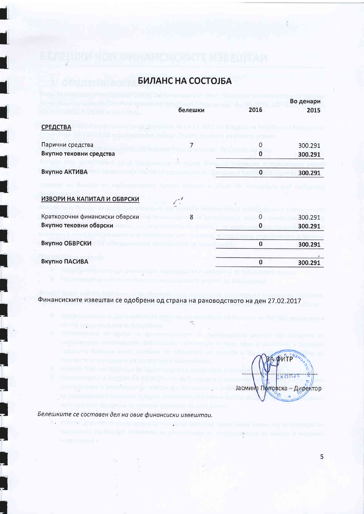# БИЛАНС НА СОСТОЈБА

|                                |                  |          | Во денари |
|--------------------------------|------------------|----------|-----------|
|                                | белешки          | 2016     | 2015      |
| <b>СРЕДСТВА</b>                |                  |          |           |
| Парични средства               |                  | 0        | 300.291   |
| Вкупно тековни средства        |                  | 0        | 300.291   |
|                                |                  |          |           |
| Вкупно АКТИВА                  |                  | $\bf{0}$ | 300.291   |
| ИЗВОРИ НА КАПИТАЛ И ОБВРСКИ    | $\mathbb{Z}^n$ . |          |           |
| Краткорочни финансиски обврски | 8                | 0        | 300.291   |
| Вкупно тековни обврски         |                  | 0        | 300.291   |
|                                |                  |          |           |
| Вкупно ОБВРСКИ                 |                  | 0        | 300.291   |
| Вкупно ПАСИВА                  |                  | $\bf{0}$ |           |
|                                |                  |          | 300.291   |

Финансиските извештаи се одобрени од страна на раководството на ден 27.02.2017

 $\frac{1}{2} \frac{1}{\lambda_{\rm B}}$ 

ФИТР Jасмина Поповска - Директор  $\sigma$ 

Белешките се составен дел на овие финансиски извештаи.

陰山

э

5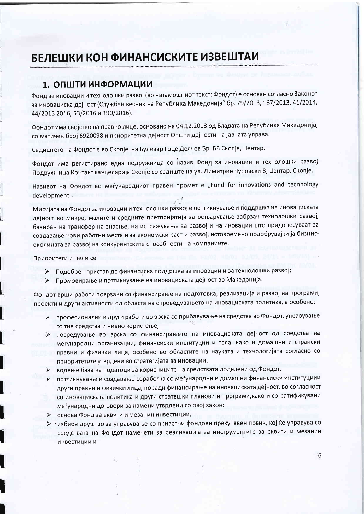# БЕЛЕШКИ КОН ФИНАНСИСКИТЕ ИЗВЕШТАИ

# 1. ОПШТИ ИНФОРМАЦИИ

Фонд за иновации и технолошки развој (во натамошниот текст: Фондот) е основан согласно Законот за иновациска дејност (Службен весник на Република Македонија" бр. 79/2013, 137/2013, 41/2014, 44/2015 2016, 53/2016 и 190/2016).

Фондот има својство на правно лице, основано на 04.12.2013 од Владата на Република Македонија, со матичен број 6920098 и приоритетна дејност Општи дејности на јавната управа.

Седиштето на Фондот е во Скопје, на Булевар Гоце Делчев Бр. ББ Скопје, Центар.

Фондот има регистирано една подружница со назив Фонд за иновации и технолошки развој Подружница Контакт канцеларија Скопје со седиште на ул. Димитрие Чуповски 8, Центар, Скопје.

Називот на Фондот во меѓународниот правен промет е "Fund for innovations and technology development".

Мисијата на Фондот за иновации и технолошки развој е поттикнување и поддршка на иновациската дејност во микро, малите и средните претпријатија за остварување забрзан технолошки развој, базиран на трансфер на знаење, на истражување за развој и на иновации што придонесуваат за создавање нови работни места и за економски раст и развој, истовремено подобрувајќи ја бизнисоколината за развој на конкурентските способности на компаниите.

Приоритети и цели се:

- > Подобрен пристап до финансиска поддршка за иновации и за технолошки развој;
- > Промовирање и поттикнување на иновациската дејност во Македонија.

Фондот врши работи поврзани со финансирање на подготовка, реализација и развој на програми, проекти и други активности од областа на спроведувањето на иновациската политика, а особено:

- > професионални и други работи во врска со прибавување на средства во Фондот, управување со тие средства и нивно користење,
- > посредување во врска со финансирањето на иновациската дејност од средства на меѓународни организации, финансиски институции и тела, како и домашни и странски правни и физички лица, особено во областите на науката и технологијата согласно со приоритетите утврдени во стратегијата за иновации,
- водење база на податоци за корисниците на средствата доделени од Фондот,
- поттикнување и создавање соработка со меѓународни и домашни финансиски институциии  $\blacktriangle$ други правни и физички лица, поради финансирање на иновациската дејност, во согласност со иновациската политика и други стратешки планови и програми, како и со ратификувани меѓународни договори за намени утврдени со овој закон;
- основа Фонд за еквити и мезанин инвестиции,  $\blacktriangleright$
- > избира друштво за управување со приватни фондови преку јавен повик, кој ќе управува со средствата на Фондот наменети за реализација за инструментите за еквити и мезанин инвестиции и

6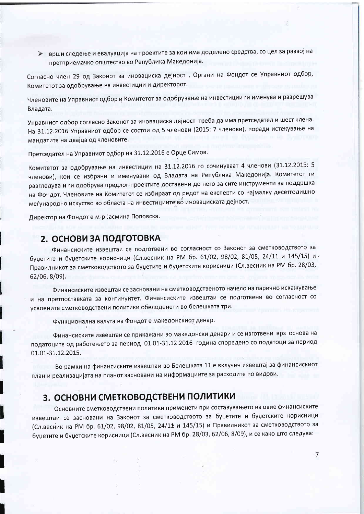> врши следење и евалуација на проектите за кои има доделено средства, со цел за развој на претприемачко општество во Република Македонија.

Согласно член 29 од Законот за иновациска дејност, Органи на Фондот се Управниот одбор, Комитетот за одобрување на инвестиции и директорот.

Членовите на Управниот одбор и Комитетот за одобрување на инвестиции ги именува и разрешува Владата.

Управниот одбор согласно Законот за иновациска дејност треба да има претседател и шест члена. На 31.12.2016 Управниот одбор се состои од 5 членови (2015: 7 членови), поради истекување на мандатите на двајца од членовите.

Претседател на Управниот одбор на 31.12.2016 е Орце Симов.

Комитетот за одобрување на инвестиции на 31.12.2016 го сочинуваат 4 членови (31.12.2015: 5 членови), кои се избрани и именувани од Владата на Република Македонија. Комитетот ги разгледува и ги одобрува предлог-проектите доставени до него за сите инструменти за поддршка на Фондот. Членовите на Комитетот се избираат од редот на експерти со најмалку десетгодишно меѓународно искуство во областа на инвестициите во иновациската дејност.

Директор на Фондот е м-р Јасмина Поповска.

### 2. ОСНОВИ ЗА ПОДГОТОВКА

Финансиските извештаи се подготвени во согласност со Законот за сметководството за буџетите и буџетските корисници (Сл.весник на РМ бр. 61/02, 98/02, 81/05, 24/11 и 145/15) и Правилникот за сметководството за буџетите и буџетските корисници (Сл.весник на РМ бр. 28/03, 62/06, 8/09).

Финансиските извештаи се засновани на сметководственото начело на парично искажување и на претпоставката за континуитет. Финансиските извештаи се подготвени во согласност со усвоените сметководствени политики обелоденети во белешката три.

Функционална валута на Фондот е македонскиот денар.

Финансиските извештаи се прикажани во македонски денари и се изготвени врз основа на податоците од работењето за период 01.01-31.12.2016 година споредено со податоци за период 01.01-31.12.2015.

Во рамки на финансиските извештаи во Белешката 11 е вклучен извештај за финансискиот план и реализацијата на планот засновани на информациите за расходите по видови.

### 3. ОСНОВНИ СМЕТКОВОДСТВЕНИ ПОЛИТИКИ

Основните сметководствени политики применети при составувањето на овие финансиските извештаи се засновани на Законот за сметководството за буџетите и буџетските корисници (Сл.весник на РМ бр. 61/02, 98/02, 81/05, 24/11 и 145/15) и Правилникот за сметководството за буџетите и буџетските корисници (Сл.весник на РМ бр. 28/03, 62/06, 8/09), и се како што следува: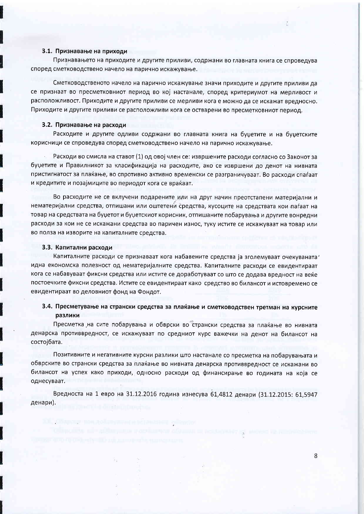#### 3.1. Признавање на приходи

Признавањето на приходите и другите приливи, содржани во главната книга се спроведува според сметководствено начело на парично искажување.

Сметководственото начело на парично искажување значи приходите и другите приливи да се признаат во пресметковниот период во кој настанале, според критериумот на мерливост и расположливост. Приходите и другите приливи се мерливи кога е можно да се искажат вредносно. Приходите и другите приливи се расположливи кога се остварени во пресметковниот период.

#### 3.2. Признавање на расходи

Расходите и другите одливи содржани во главната книга на буџетите и на буџетските корисници се спроведува според сметководствено начело на парично искажување.

Расходи во смисла на ставот (1) од овој член се: извршените расходи согласно со Законот за буџетите и Правилникот за класификација на расходите, ако се извршени до денот на нивната пристигнатост за плаќање, во спротивно активно временски се разграничуваат. Во расходи спаѓаат и кредитите и позајмиците во периодот кога се враќаат.

Во расходите не се вклучени подарените или на друг начин преотстапени материјални и нематеријални средства, отпишани или оштетени средства, кусоците на средствата кои паѓаат на товар на средствата на буџетот и буџетскиот корисник, отпишаните побарувања и другите вонредни расходи за кои не се искажани средства во паричен износ, туку истите се искажуваат на товар или во полза на изворите на капиталните средства.

#### 3.3. Капитални расходи

Капиталните расходи се признаваат кога набавените средства ја зголемуваат очекуваната' идна економска полезност од нематеријалните средства. Капиталните расходи се евидентираат кога се набавуваат фиксни средства или истите се доработуваат со што се додава вредност на веќе постоечките фиксни средства. Истите се евидентираат како средство во билансот и истовремено се евидентираат во деловниот фонд на Фондот.

### 3.4. Пресметување на странски средства за плаќање и сметководствен третман на курсните разлики

Пресметка на сите побарувања и обврски во странски средства за плаќање во нивната денарска противвредност, се искажуваат по средниот курс важечки на денот на билансот на состојбата.

Позитивните и негативните курсни разлики што настанале со пресметка на побарувањата и обврските во странски средства за плаќање во нивната денарска противвредност се искажани во билансот на успех како приходи, односно расходи од финансирање во годината на која се однесуваат.

Вредноста на 1 евро на 31.12.2016 година изнесува 61,4812 денари (31.12.2015: 61,5947 денари).

8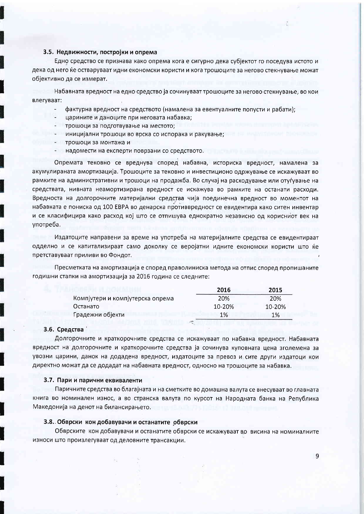#### 3.5. Недвижности, постројки и опрема

Едно средство се признава како опрема кога е сигурно дека субјектот го поседува истото и дека од него ќе остваруваат идни економски користи и кога трошоците за негово стекнување можат обіективно да се измерат.

Набавната вредност на едно средство ја сочинуваат трошоците за негово стекнување, во кои влегуваат:

- фактурна вредност на средството (намалена за евентуалните попусти и рабати);
- царините и даноците при неговата набавка;
- трошоци за подготвување на местото;
- иницијални трошоци во врска со испорака и ракување;
- трошоци за монтажа и
- надомести на експерти поврзани со средството.

Опремата тековно се вреднува според набавна, историска вредност, намалена за акумулираната амортизација. Трошоците за тековно и инвестиционо одржување се искажуваат во рамките на административни и трошоци на продажба. Во случај на расходување или отуѓување на средствата, нивната неамортизирана вредност се искажува во рамките на останати расходи. Вредноста на долгорочните материјални средства чија поединечна вредност во моментот на набавката е пониска од 100 ЕВРА во денарска противвредност се евидентира како ситен инвентар и се класифицира како расход кој што се отпишува еднократно независно од корисниот век на употреба.

Издатоците направени за време на употреба на материјалните средства се евидентираат одделно и се капитализираат само доколку се веројатни идните економски користи што ќе претставуваат приливи во Фондот.

Пресметката на амортизација е според праволиниска метода на отпис според пропишаните годишни стапки на амортизација за 2016 година се следните:

|                                  | 2016   | 2015   |
|----------------------------------|--------|--------|
| Компјутери и компјутерска опрема | 20%    | 20%    |
| Останато                         | 10-20% | 10-20% |
| Градежни објекти                 | 1%     | 1%     |

#### 3.6. Средства

Долгорочните и краткорочните средства се искажуваат по набавна вредност. Набавната вредност на долгорочните и краткорочните средства ја сочинува куповната цена зголемена за увозни царини, данок на додадена вредност, издатоците за превоз и сите други издатоци кои директно можат да се додадат на набавната вредност, односно на трошоците за набавка.

#### 3.7. Пари и парични еквиваленти

Паричните средства во благајната и на сметките во домашна валута се внесуваат во главната книга во номинален износ, а во странска валута по курсот на Народната банка на Република Македонија на денот на билансирањето.

#### 3.8. Обврски кон добавувачи и останатите обврски

Обврските кон добавувачи и останатите обврски се искажуваат во висина на номиналните износи што произлегуваат од деловните трансакции.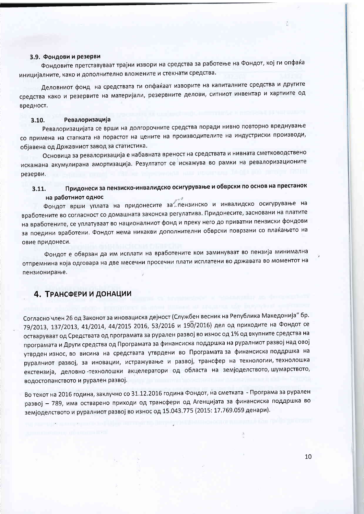#### 3.9. Фондови и резерви

Фондовите претставуваат трајни извори на средства за работење на Фондот, кој ги опфаќа иницијалните, како и дополнително вложените и стекнати средства.

Деловниот фонд на средствата ги опфаќаат изворите на капиталните средства и другите средства како и резервите на материјали, резервните делови, ситниот инвентар и хартиите од вредност.

#### Ревалоризација  $3.10.$

Ревалоризацијата се врши на долгорочните средства поради нивно повторно вреднување со примена на стапката на порастот на цените на производителите на индустриски производи, објавена од Државниот завод за статистика.

Основица за ревалоризација е набавната вреност на средствата и нивната сметководствено искажана акумулирана амортизација. Резултатот се искажува во рамки на ревалоризационите резерви.

#### Придонеси за пензиско-инвалидско осигурување и обврски по основ на престанок  $3.11.$ на работниот однос

Фондот врши уплата на придонесите за пензинско и инвалидско осигурување на вработените во согласност со домашната законска регулатива. Придонесите, засновани на платите на вработените, се уплатуваат во националниот фонд и преку него до приватни пензиски фондови за поедини вработени. Фондот нема никакви дополнителни обврски поврзани со плаќањето на овие придонеси.

Фондот е обврзан да им исплати на вработените кои заминуваат во пензија минимална отпремнина која одговара на две месечни просечни плати исплатени во државата во моментот на пензионирање.

### 4. ТРАНСФЕРИ И ДОНАЦИИ

Согласно член 26 од Законот за иновациска дејност (Службен весник на Република Македонија" бр. 79/2013, 137/2013, 41/2014, 44/2015 2016, 53/2016 и 190/2016) дел од приходите на Фондот се остваруваат од Средствата од програмата за рурален развој во износ од 1% од вкупните средства на програмата и Други средства од Програмата за финансиска поддршка на руралниот развој над овој утврден износ, во висина на средствата утврдени во Програмата за финансиска поддршка на руралниот развој, за иновации, истражување и развој, трансфер на технологии, технолошка екстензија, деловно -технолошки акцелератори од областа на земјоделството, шумарството, водостопанството и рурален развој.

Во текот на 2016 година, заклучно со 31.12.2016 година Фондот, на сметката - Програма за рурален развој - 789, има остварено приходи од трансфери од Агенцијата за финансиска поддршка во земјоделството и руралниот развој во износ од 15.043.775 (2015: 17.769.059 денари).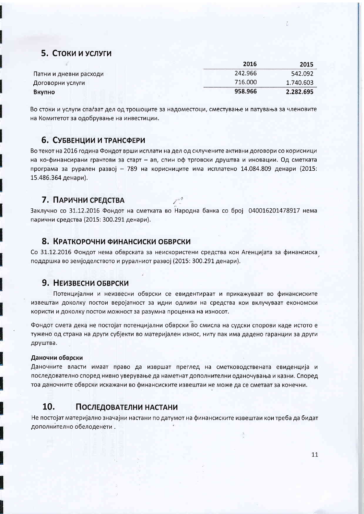## 5. Стоки и услуги

|                        | 2016    | 2015      |
|------------------------|---------|-----------|
| Патни и дневни расходи | 242.966 | 542.092   |
| Договорни услуги       | 716.000 | 1.740.603 |
| Вкупно                 | 958.966 | 2.282.695 |

Во стоки и услуги спаѓаат дел од трошоците за надоместоци, сместување и патувања за членовите на Комитетот за одобрување на инвестиции.

### 6. СУБВЕНЦИИ И ТРАНСФЕРИ

Во текот на 2016 година Фондот врши исплати на дел од склучените активни договори со корисници на ко-финансирани грантови за старт - ап, спин оф трговски друштва и иновации. Од сметката програма за рурален развој - 789 на корисниците има исплатено 14.084.809 денари (2015: 15.486.364 денари).

### 7. ПАРИЧНИ СРЕДСТВА

Заклучно со 31.12.2016 Фондот на сметката во Народна банка со број 040016201478917 нема парични средства (2015: 300.291 денари).

### 8. КРАТКОРОЧНИ ФИНАНСИСКИ ОБВРСКИ

Со 31.12.2016 Фондот нема обврската за неискористени средства кон Агенцијата за финансиска. поддршка во земјоделството и руралниот развој (2015: 300.291 денари).

### 9. НЕИЗВЕСНИ ОБВРСКИ

Потенцијални и неизвесни обврски се евидентираат и прикажуваат во финансиските извештаи доколку постои веројатност за идни одливи на средства кои вклучуваат економски користи и доколку постои можност за разумна проценка на износот.

Фондот смета дека не постојат потенцијални обврски во смисла на судски спорови каде истото е тужено од страна на други субјекти во материјален износ, ниту пак има дадено гаранции за други друштва.

#### Даночни обврски

Даночните власти имаат право да извршат преглед на сметководствената евиденција и последователно според нивно уверување да наметнат дополнителни оданочувања и казни. Според тоа даночните обврски искажани во финансиските извештаи не може да се сметаат за конечни.

#### $10.$ ПОСЛЕДОВАТЕЛНИ НАСТАНИ

Не постојат материјално значајни настани по датумот на финансиските извештаи кои треба да бидат дополнително обелоденети.